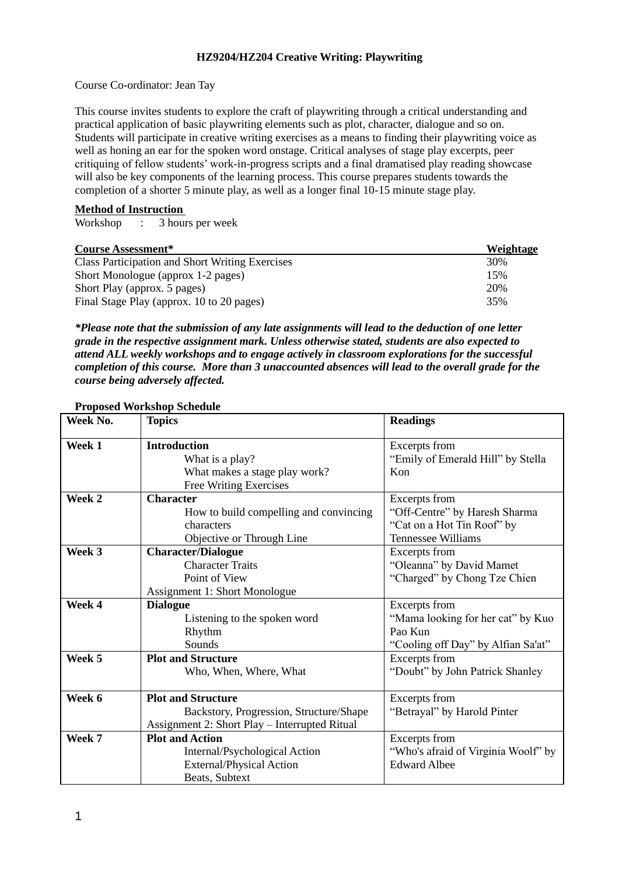## **HZ9204/HZ204 Creative Writing: Playwriting**

Course Co-ordinator: Jean Tay

This course invites students to explore the craft of playwriting through a critical understanding and practical application of basic playwriting elements such as plot, character, dialogue and so on. Students will participate in creative writing exercises as a means to finding their playwriting voice as well as honing an ear for the spoken word onstage. Critical analyses of stage play excerpts, peer critiquing of fellow students' work-in-progress scripts and a final dramatised play reading showcase will also be key components of the learning process. This course prepares students towards the completion of a shorter 5 minute play, as well as a longer final 10-15 minute stage play.

## **Method of Instruction**

Workshop : 3 hours per week

| <b>Course Assessment*</b>                              | Weightage |
|--------------------------------------------------------|-----------|
| <b>Class Participation and Short Writing Exercises</b> | 30%       |
| Short Monologue (approx 1-2 pages)                     | 15%       |
| Short Play (approx. 5 pages)                           | 20%       |
| Final Stage Play (approx. 10 to 20 pages)              | 35%       |

*\*Please note that the submission of any late assignments will lead to the deduction of one letter grade in the respective assignment mark. Unless otherwise stated, students are also expected to attend ALL weekly workshops and to engage actively in classroom explorations for the successful completion of this course. More than 3 unaccounted absences will lead to the overall grade for the course being adversely affected.* 

| Week No. | <b>Topics</b>                                 | <b>Readings</b>                     |
|----------|-----------------------------------------------|-------------------------------------|
| Week 1   | <b>Introduction</b>                           | Excerpts from                       |
|          | What is a play?                               | "Emily of Emerald Hill" by Stella   |
|          | What makes a stage play work?                 | Kon                                 |
|          | Free Writing Exercises                        |                                     |
| Week 2   | <b>Character</b>                              | Excerpts from                       |
|          | How to build compelling and convincing        | "Off-Centre" by Haresh Sharma       |
|          | characters                                    | "Cat on a Hot Tin Roof" by          |
|          | Objective or Through Line                     | <b>Tennessee Williams</b>           |
| Week 3   | <b>Character/Dialogue</b>                     | Excerpts from                       |
|          | <b>Character Traits</b>                       | "Oleanna" by David Mamet            |
|          | Point of View                                 | "Charged" by Chong Tze Chien        |
|          | <b>Assignment 1: Short Monologue</b>          |                                     |
| Week 4   | <b>Dialogue</b>                               | Excerpts from                       |
|          | Listening to the spoken word                  | "Mama looking for her cat" by Kuo   |
|          | Rhythm                                        | Pao Kun                             |
|          | Sounds                                        | "Cooling off Day" by Alfian Sa'at"  |
| Week 5   | <b>Plot and Structure</b>                     | Excerpts from                       |
|          | Who, When, Where, What                        | "Doubt" by John Patrick Shanley     |
| Week 6   | <b>Plot and Structure</b>                     | Excerpts from                       |
|          | Backstory, Progression, Structure/Shape       | "Betrayal" by Harold Pinter         |
|          | Assignment 2: Short Play – Interrupted Ritual |                                     |
| Week 7   | <b>Plot and Action</b>                        | Excerpts from                       |
|          | Internal/Psychological Action                 | "Who's afraid of Virginia Woolf" by |
|          | <b>External/Physical Action</b>               | <b>Edward Albee</b>                 |
|          | Beats, Subtext                                |                                     |

## **Proposed Workshop Schedule**